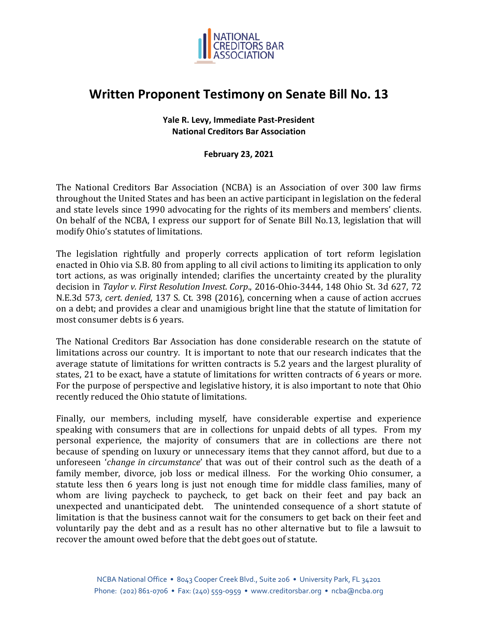

## **Written Proponent Testimony on Senate Bill No. 13**

## **Yale R. Levy, Immediate Past-President National Creditors Bar Association**

**February 23, 2021** 

The National Creditors Bar Association (NCBA) is an Association of over 300 law firms throughout the United States and has been an active participant in legislation on the federal and state levels since 1990 advocating for the rights of its members and members' clients. On behalf of the NCBA, I express our support for of Senate Bill No.13, legislation that will modify Ohio's statutes of limitations.

The legislation rightfully and properly corrects application of tort reform legislation enacted in Ohio via S.B. 80 from appling to all civil actions to limiting its application to only tort actions, as was originally intended; clarifies the uncertainty created by the plurality decision in *Taylor v. First Resolution Invest. Corp*., 2016-Ohio-3444, 148 Ohio St. 3d 627, 72 N.E.3d 573, *cert. denied*, 137 S. Ct. 398 (2016), concerning when a cause of action accrues on a debt; and provides a clear and unamigious bright line that the statute of limitation for most consumer debts is 6 years.

The National Creditors Bar Association has done considerable research on the statute of limitations across our country. It is important to note that our research indicates that the average statute of limitations for written contracts is 5.2 years and the largest plurality of states, 21 to be exact, have a statute of limitations for written contracts of 6 years or more. For the purpose of perspective and legislative history, it is also important to note that Ohio recently reduced the Ohio statute of limitations.

Finally, our members, including myself, have considerable expertise and experience speaking with consumers that are in collections for unpaid debts of all types. From my personal experience, the majority of consumers that are in collections are there not because of spending on luxury or unnecessary items that they cannot afford, but due to a unforeseen '*change in circumstance*' that was out of their control such as the death of a family member, divorce, job loss or medical illness. For the working Ohio consumer, a statute less then 6 years long is just not enough time for middle class families, many of whom are living paycheck to paycheck, to get back on their feet and pay back an unexpected and unanticipated debt. The unintended consequence of a short statute of limitation is that the business cannot wait for the consumers to get back on their feet and voluntarily pay the debt and as a result has no other alternative but to file a lawsuit to recover the amount owed before that the debt goes out of statute.